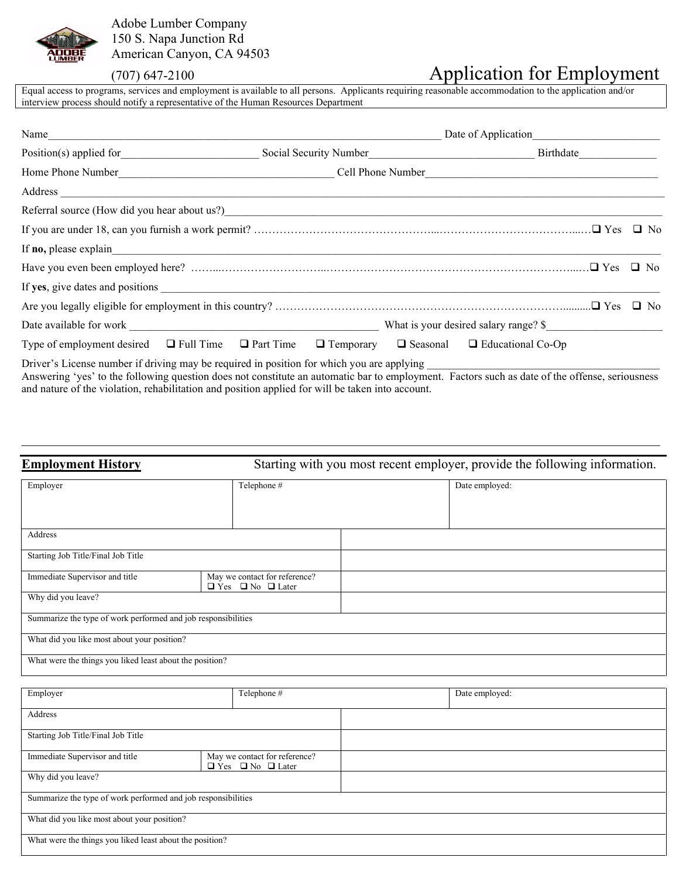

Adobe Lumber Company 150 S. Napa Junction Rd American Canyon, CA 94503

# (707) 647-2100 Application for Employment

Equal access to programs, services and employment is available to all persons. Applicants requiring reasonable accommodation to the application and/or interview process should notify a representative of the Human Resources Department

| Name                                                         |  |  |                                                           |  |           |
|--------------------------------------------------------------|--|--|-----------------------------------------------------------|--|-----------|
| Position(s) applied for                                      |  |  | Social Security Number<br><u>Social Security Number</u>   |  |           |
|                                                              |  |  |                                                           |  |           |
| Address                                                      |  |  |                                                           |  |           |
|                                                              |  |  |                                                           |  |           |
|                                                              |  |  |                                                           |  |           |
| If <b>no</b> , please explain                                |  |  |                                                           |  |           |
|                                                              |  |  |                                                           |  |           |
|                                                              |  |  |                                                           |  |           |
|                                                              |  |  |                                                           |  | $\Box$ No |
|                                                              |  |  | What is your desired salary range? \$                     |  |           |
| Type of employment desired $\Box$ Full Time $\Box$ Part Time |  |  | $\Box$ Temporary $\Box$ Seasonal $\Box$ Educational Co-Op |  |           |
|                                                              |  |  |                                                           |  |           |

Driver's License number if driving may be required in position for which you are applying Answering 'yes' to the following question does not constitute an automatic bar to employment. Factors such as date of the offense, seriousness and nature of the violation, rehabilitation and position applied for will be taken into account.

 $\_$  , and the contribution of the contribution of the contribution of the contribution of the contribution of  $\mathcal{L}_\text{max}$ 

| <b>Employment History</b>                                     | Starting with you most recent employer, provide the following information. |                |  |
|---------------------------------------------------------------|----------------------------------------------------------------------------|----------------|--|
| Employer                                                      | Telephone #                                                                | Date employed: |  |
| Address                                                       |                                                                            |                |  |
| Starting Job Title/Final Job Title                            |                                                                            |                |  |
| Immediate Supervisor and title                                | May we contact for reference?<br>$\Box$ Yes $\Box$ No $\Box$ Later         |                |  |
| Why did you leave?                                            |                                                                            |                |  |
| Summarize the type of work performed and job responsibilities |                                                                            |                |  |
| What did you like most about your position?                   |                                                                            |                |  |
| What were the things you liked least about the position?      |                                                                            |                |  |

| Employer                                                      |                                                                    | Telephone # |  | Date employed: |  |
|---------------------------------------------------------------|--------------------------------------------------------------------|-------------|--|----------------|--|
| Address                                                       |                                                                    |             |  |                |  |
| Starting Job Title/Final Job Title                            |                                                                    |             |  |                |  |
| Immediate Supervisor and title                                | May we contact for reference?<br>$\Box$ Yes $\Box$ No $\Box$ Later |             |  |                |  |
| Why did you leave?                                            |                                                                    |             |  |                |  |
| Summarize the type of work performed and job responsibilities |                                                                    |             |  |                |  |
| What did you like most about your position?                   |                                                                    |             |  |                |  |
| What were the things you liked least about the position?      |                                                                    |             |  |                |  |